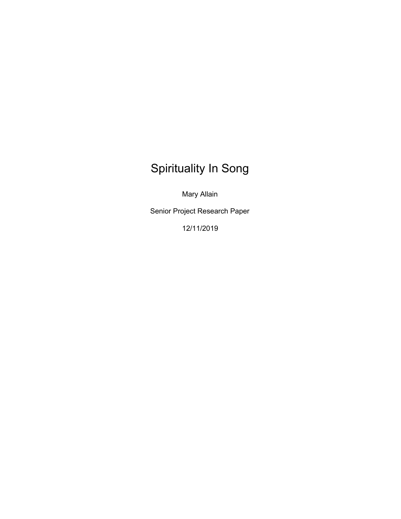# Spirituality In Song

Mary Allain

Senior Project Research Paper

12/11/2019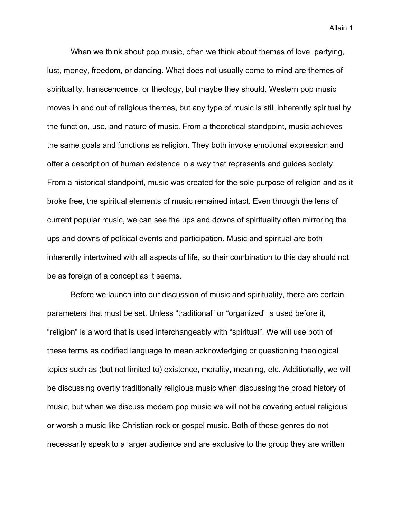When we think about pop music, often we think about themes of love, partying, lust, money, freedom, or dancing. What does not usually come to mind are themes of spirituality, transcendence, or theology, but maybe they should. Western pop music moves in and out of religious themes, but any type of music is still inherently spiritual by the function, use, and nature of music. From a theoretical standpoint, music achieves the same goals and functions as religion. They both invoke emotional expression and offer a description of human existence in a way that represents and guides society. From a historical standpoint, music was created for the sole purpose of religion and as it broke free, the spiritual elements of music remained intact. Even through the lens of current popular music, we can see the ups and downs of spirituality often mirroring the ups and downs of political events and participation. Music and spiritual are both inherently intertwined with all aspects of life, so their combination to this day should not be as foreign of a concept as it seems.

Before we launch into our discussion of music and spirituality, there are certain parameters that must be set. Unless "traditional" or "organized" is used before it, "religion" is a word that is used interchangeably with "spiritual". We will use both of these terms as codified language to mean acknowledging or questioning theological topics such as (but not limited to) existence, morality, meaning, etc. Additionally, we will be discussing overtly traditionally religious music when discussing the broad history of music, but when we discuss modern pop music we will not be covering actual religious or worship music like Christian rock or gospel music. Both of these genres do not necessarily speak to a larger audience and are exclusive to the group they are written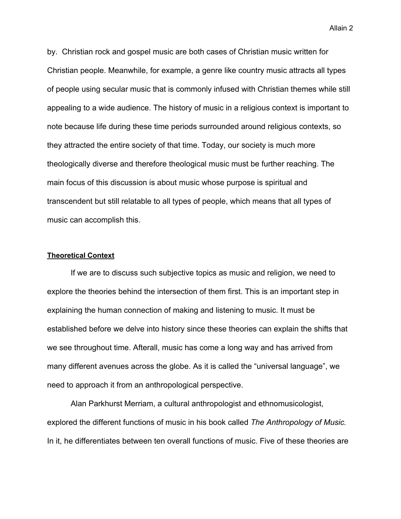by. Christian rock and gospel music are both cases of Christian music written for Christian people. Meanwhile, for example, a genre like country music attracts all types of people using secular music that is commonly infused with Christian themes while still appealing to a wide audience. The history of music in a religious context is important to note because life during these time periods surrounded around religious contexts, so they attracted the entire society of that time. Today, our society is much more theologically diverse and therefore theological music must be further reaching. The main focus of this discussion is about music whose purpose is spiritual and transcendent but still relatable to all types of people, which means that all types of music can accomplish this.

#### **Theoretical Context**

If we are to discuss such subjective topics as music and religion, we need to explore the theories behind the intersection of them first. This is an important step in explaining the human connection of making and listening to music. It must be established before we delve into history since these theories can explain the shifts that we see throughout time. Afterall, music has come a long way and has arrived from many different avenues across the globe. As it is called the "universal language", we need to approach it from an anthropological perspective.

Alan Parkhurst Merriam, a cultural anthropologist and ethnomusicologist, explored the different functions of music in his book called *The Anthropology of Music.* In it, he differentiates between ten overall functions of music. Five of these theories are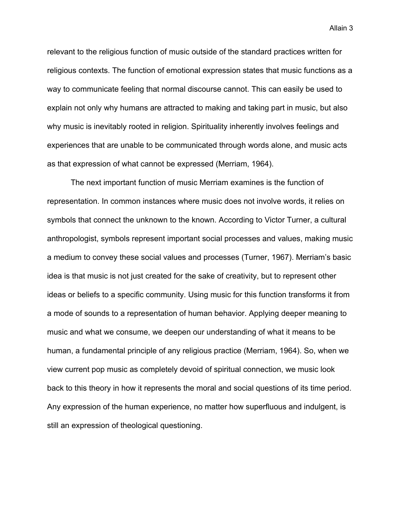relevant to the religious function of music outside of the standard practices written for religious contexts. The function of emotional expression states that music functions as a way to communicate feeling that normal discourse cannot. This can easily be used to explain not only why humans are attracted to making and taking part in music, but also why music is inevitably rooted in religion. Spirituality inherently involves feelings and experiences that are unable to be communicated through words alone, and music acts as that expression of what cannot be expressed (Merriam, 1964).

The next important function of music Merriam examines is the function of representation. In common instances where music does not involve words, it relies on symbols that connect the unknown to the known. According to Victor Turner, a cultural anthropologist, symbols represent important social processes and values, making music a medium to convey these social values and processes (Turner, 1967). Merriam's basic idea is that music is not just created for the sake of creativity, but to represent other ideas or beliefs to a specific community. Using music for this function transforms it from a mode of sounds to a representation of human behavior. Applying deeper meaning to music and what we consume, we deepen our understanding of what it means to be human, a fundamental principle of any religious practice (Merriam, 1964). So, when we view current pop music as completely devoid of spiritual connection, we music look back to this theory in how it represents the moral and social questions of its time period. Any expression of the human experience, no matter how superfluous and indulgent, is still an expression of theological questioning.

Allain 3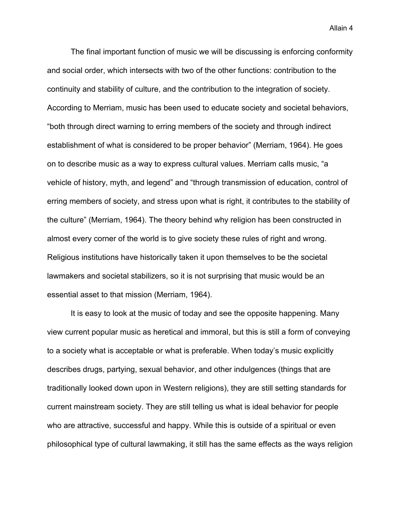The final important function of music we will be discussing is enforcing conformity and social order, which intersects with two of the other functions: contribution to the continuity and stability of culture, and the contribution to the integration of society. According to Merriam, music has been used to educate society and societal behaviors, "both through direct warning to erring members of the society and through indirect establishment of what is considered to be proper behavior" (Merriam, 1964). He goes on to describe music as a way to express cultural values. Merriam calls music, "a vehicle of history, myth, and legend" and "through transmission of education, control of erring members of society, and stress upon what is right, it contributes to the stability of the culture" (Merriam, 1964). The theory behind why religion has been constructed in almost every corner of the world is to give society these rules of right and wrong. Religious institutions have historically taken it upon themselves to be the societal lawmakers and societal stabilizers, so it is not surprising that music would be an essential asset to that mission (Merriam, 1964).

It is easy to look at the music of today and see the opposite happening. Many view current popular music as heretical and immoral, but this is still a form of conveying to a society what is acceptable or what is preferable. When today's music explicitly describes drugs, partying, sexual behavior, and other indulgences (things that are traditionally looked down upon in Western religions), they are still setting standards for current mainstream society. They are still telling us what is ideal behavior for people who are attractive, successful and happy. While this is outside of a spiritual or even philosophical type of cultural lawmaking, it still has the same effects as the ways religion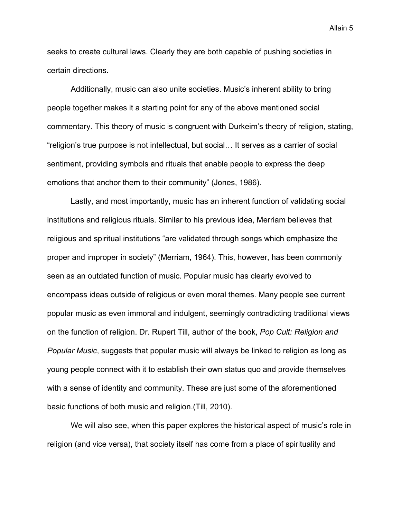seeks to create cultural laws. Clearly they are both capable of pushing societies in certain directions.

Additionally, music can also unite societies. Music's inherent ability to bring people together makes it a starting point for any of the above mentioned social commentary. This theory of music is congruent with Durkeim's theory of religion, stating, "religion's true purpose is not intellectual, but social… It serves as a carrier of social sentiment, providing symbols and rituals that enable people to express the deep emotions that anchor them to their community" (Jones, 1986).

Lastly, and most importantly, music has an inherent function of validating social institutions and religious rituals. Similar to his previous idea, Merriam believes that religious and spiritual institutions "are validated through songs which emphasize the proper and improper in society" (Merriam, 1964). This, however, has been commonly seen as an outdated function of music. Popular music has clearly evolved to encompass ideas outside of religious or even moral themes. Many people see current popular music as even immoral and indulgent, seemingly contradicting traditional views on the function of religion. Dr. Rupert Till, author of the book, *Pop Cult: Religion and Popular Music*, suggests that popular music will always be linked to religion as long as young people connect with it to establish their own status quo and provide themselves with a sense of identity and community. These are just some of the aforementioned basic functions of both music and religion.(Till, 2010).

We will also see, when this paper explores the historical aspect of music's role in religion (and vice versa), that society itself has come from a place of spirituality and

Allain 5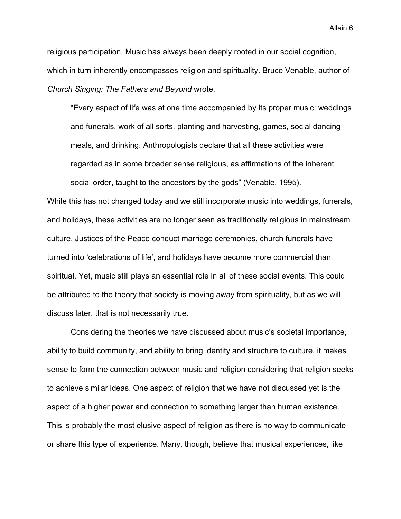religious participation. Music has always been deeply rooted in our social cognition, which in turn inherently encompasses religion and spirituality. Bruce Venable, author of *Church Singing: The Fathers and Beyond* wrote,

"Every aspect of life was at one time accompanied by its proper music: weddings and funerals, work of all sorts, planting and harvesting, games, social dancing meals, and drinking. Anthropologists declare that all these activities were regarded as in some broader sense religious, as affirmations of the inherent social order, taught to the ancestors by the gods" (Venable, 1995).

While this has not changed today and we still incorporate music into weddings, funerals, and holidays, these activities are no longer seen as traditionally religious in mainstream culture. Justices of the Peace conduct marriage ceremonies, church funerals have turned into 'celebrations of life', and holidays have become more commercial than spiritual. Yet, music still plays an essential role in all of these social events. This could be attributed to the theory that society is moving away from spirituality, but as we will discuss later, that is not necessarily true.

Considering the theories we have discussed about music's societal importance, ability to build community, and ability to bring identity and structure to culture, it makes sense to form the connection between music and religion considering that religion seeks to achieve similar ideas. One aspect of religion that we have not discussed yet is the aspect of a higher power and connection to something larger than human existence. This is probably the most elusive aspect of religion as there is no way to communicate or share this type of experience. Many, though, believe that musical experiences, like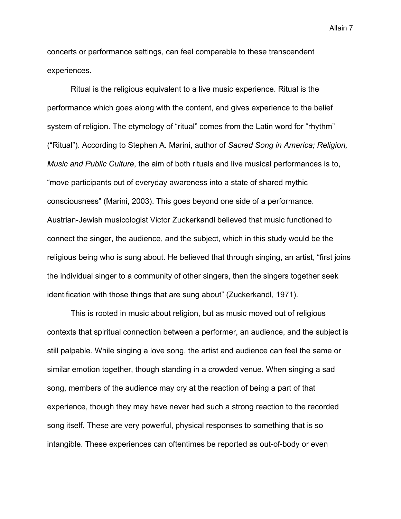concerts or performance settings, can feel comparable to these transcendent experiences.

Ritual is the religious equivalent to a live music experience. Ritual is the performance which goes along with the content, and gives experience to the belief system of religion. The etymology of "ritual" comes from the Latin word for "rhythm" ("Ritual"). According to Stephen A. Marini, author of *Sacred Song in America; Religion, Music and Public Culture*, the aim of both rituals and live musical performances is to, "move participants out of everyday awareness into a state of shared mythic consciousness" (Marini, 2003). This goes beyond one side of a performance. Austrian-Jewish musicologist Victor Zuckerkandl believed that music functioned to connect the singer, the audience, and the subject, which in this study would be the religious being who is sung about. He believed that through singing, an artist, "first joins the individual singer to a community of other singers, then the singers together seek identification with those things that are sung about" (Zuckerkandl, 1971).

This is rooted in music about religion, but as music moved out of religious contexts that spiritual connection between a performer, an audience, and the subject is still palpable. While singing a love song, the artist and audience can feel the same or similar emotion together, though standing in a crowded venue. When singing a sad song, members of the audience may cry at the reaction of being a part of that experience, though they may have never had such a strong reaction to the recorded song itself. These are very powerful, physical responses to something that is so intangible. These experiences can oftentimes be reported as out-of-body or even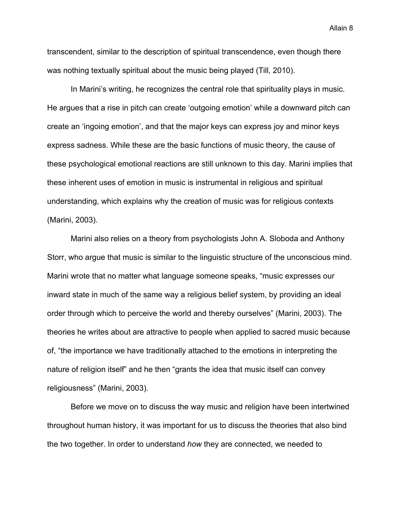transcendent, similar to the description of spiritual transcendence, even though there was nothing textually spiritual about the music being played (Till, 2010).

In Marini's writing, he recognizes the central role that spirituality plays in music. He argues that a rise in pitch can create 'outgoing emotion' while a downward pitch can create an 'ingoing emotion', and that the major keys can express joy and minor keys express sadness. While these are the basic functions of music theory, the cause of these psychological emotional reactions are still unknown to this day. Marini implies that these inherent uses of emotion in music is instrumental in religious and spiritual understanding, which explains why the creation of music was for religious contexts (Marini, 2003).

Marini also relies on a theory from psychologists John A. Sloboda and Anthony Storr, who argue that music is similar to the linguistic structure of the unconscious mind. Marini wrote that no matter what language someone speaks, "music expresses our inward state in much of the same way a religious belief system, by providing an ideal order through which to perceive the world and thereby ourselves" (Marini, 2003). The theories he writes about are attractive to people when applied to sacred music because of, "the importance we have traditionally attached to the emotions in interpreting the nature of religion itself" and he then "grants the idea that music itself can convey religiousness" (Marini, 2003).

Before we move on to discuss the way music and religion have been intertwined throughout human history, it was important for us to discuss the theories that also bind the two together. In order to understand *how* they are connected, we needed to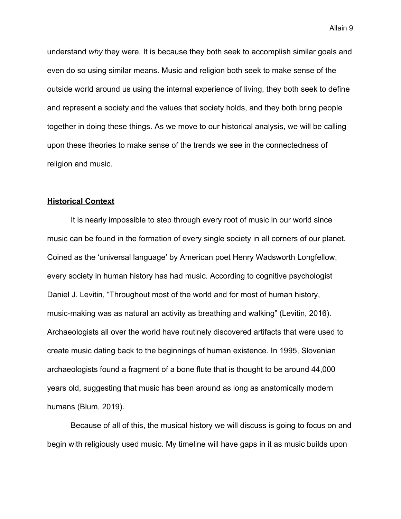understand *why* they were. It is because they both seek to accomplish similar goals and even do so using similar means. Music and religion both seek to make sense of the outside world around us using the internal experience of living, they both seek to define and represent a society and the values that society holds, and they both bring people together in doing these things. As we move to our historical analysis, we will be calling upon these theories to make sense of the trends we see in the connectedness of religion and music.

#### **Historical Context**

It is nearly impossible to step through every root of music in our world since music can be found in the formation of every single society in all corners of our planet. Coined as the 'universal language' by American poet Henry Wadsworth Longfellow, every society in human history has had music. According to cognitive psychologist Daniel J. Levitin, "Throughout most of the world and for most of human history, music-making was as natural an activity as breathing and walking" (Levitin, 2016). Archaeologists all over the world have routinely discovered artifacts that were used to create music dating back to the beginnings of human existence. In 1995, Slovenian archaeologists found a fragment of a bone flute that is thought to be around 44,000 years old, suggesting that music has been around as long as anatomically modern humans (Blum, 2019).

Because of all of this, the musical history we will discuss is going to focus on and begin with religiously used music. My timeline will have gaps in it as music builds upon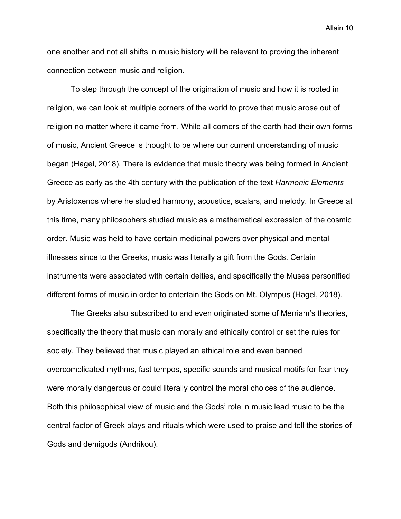one another and not all shifts in music history will be relevant to proving the inherent connection between music and religion.

To step through the concept of the origination of music and how it is rooted in religion, we can look at multiple corners of the world to prove that music arose out of religion no matter where it came from. While all corners of the earth had their own forms of music, Ancient Greece is thought to be where our current understanding of music began (Hagel, 2018). There is evidence that music theory was being formed in Ancient Greece as early as the 4th century with the publication of the text *Harmonic Elements* by Aristoxenos where he studied harmony, acoustics, scalars, and melody. In Greece at this time, many philosophers studied music as a mathematical expression of the cosmic order. Music was held to have certain medicinal powers over physical and mental illnesses since to the Greeks, music was literally a gift from the Gods. Certain instruments were associated with certain deities, and specifically the Muses personified different forms of music in order to entertain the Gods on Mt. Olympus (Hagel, 2018).

The Greeks also subscribed to and even originated some of Merriam's theories, specifically the theory that music can morally and ethically control or set the rules for society. They believed that music played an ethical role and even banned overcomplicated rhythms, fast tempos, specific sounds and musical motifs for fear they were morally dangerous or could literally control the moral choices of the audience. Both this philosophical view of music and the Gods' role in music lead music to be the central factor of Greek plays and rituals which were used to praise and tell the stories of Gods and demigods (Andrikou).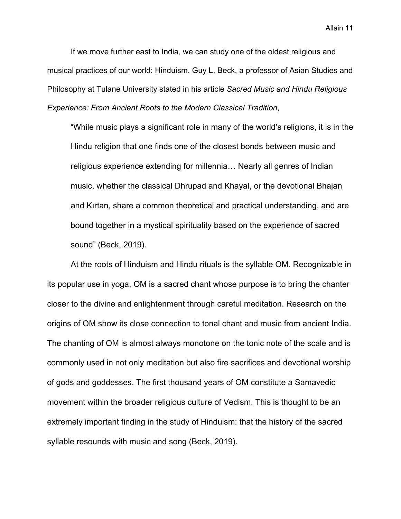If we move further east to India, we can study one of the oldest religious and musical practices of our world: Hinduism. Guy L. Beck, a professor of Asian Studies and Philosophy at Tulane University stated in his article *Sacred Music and Hindu Religious Experience: From Ancient Roots to the Modern Classical Tradition*,

"While music plays a significant role in many of the world's religions, it is in the Hindu religion that one finds one of the closest bonds between music and religious experience extending for millennia… Nearly all genres of Indian music, whether the classical Dhrupad and Khayal, or the devotional Bhajan and Kırtan, share a common theoretical and practical understanding, and are bound together in a mystical spirituality based on the experience of sacred sound" (Beck, 2019).

At the roots of Hinduism and Hindu rituals is the syllable OM. Recognizable in its popular use in yoga, OM is a sacred chant whose purpose is to bring the chanter closer to the divine and enlightenment through careful meditation. Research on the origins of OM show its close connection to tonal chant and music from ancient India. The chanting of OM is almost always monotone on the tonic note of the scale and is commonly used in not only meditation but also fire sacrifices and devotional worship of gods and goddesses. The first thousand years of OM constitute a Samavedic movement within the broader religious culture of Vedism. This is thought to be an extremely important finding in the study of Hinduism: that the history of the sacred syllable resounds with music and song (Beck, 2019).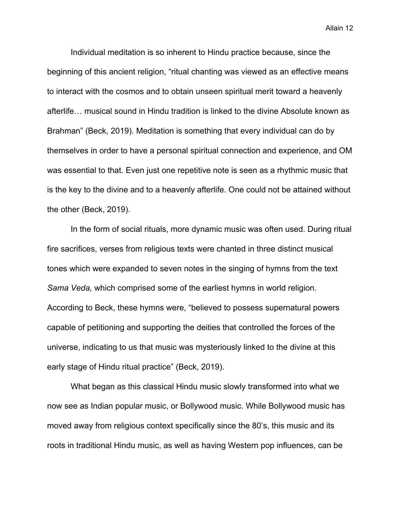Individual meditation is so inherent to Hindu practice because, since the beginning of this ancient religion, "ritual chanting was viewed as an effective means to interact with the cosmos and to obtain unseen spiritual merit toward a heavenly afterlife… musical sound in Hindu tradition is linked to the divine Absolute known as Brahman" (Beck, 2019). Meditation is something that every individual can do by themselves in order to have a personal spiritual connection and experience, and OM was essential to that. Even just one repetitive note is seen as a rhythmic music that is the key to the divine and to a heavenly afterlife. One could not be attained without the other (Beck, 2019).

In the form of social rituals, more dynamic music was often used. During ritual fire sacrifices, verses from religious texts were chanted in three distinct musical tones which were expanded to seven notes in the singing of hymns from the text *Sama Veda,* which comprised some of the earliest hymns in world religion. According to Beck, these hymns were, "believed to possess supernatural powers capable of petitioning and supporting the deities that controlled the forces of the universe, indicating to us that music was mysteriously linked to the divine at this early stage of Hindu ritual practice" (Beck, 2019).

What began as this classical Hindu music slowly transformed into what we now see as Indian popular music, or Bollywood music. While Bollywood music has moved away from religious context specifically since the 80's, this music and its roots in traditional Hindu music, as well as having Western pop influences, can be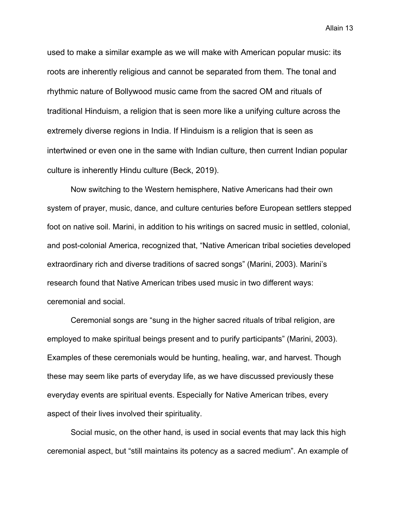used to make a similar example as we will make with American popular music: its roots are inherently religious and cannot be separated from them. The tonal and rhythmic nature of Bollywood music came from the sacred OM and rituals of traditional Hinduism, a religion that is seen more like a unifying culture across the extremely diverse regions in India. If Hinduism is a religion that is seen as intertwined or even one in the same with Indian culture, then current Indian popular culture is inherently Hindu culture (Beck, 2019).

Now switching to the Western hemisphere, Native Americans had their own system of prayer, music, dance, and culture centuries before European settlers stepped foot on native soil. Marini, in addition to his writings on sacred music in settled, colonial, and post-colonial America, recognized that, "Native American tribal societies developed extraordinary rich and diverse traditions of sacred songs" (Marini, 2003). Marini's research found that Native American tribes used music in two different ways: ceremonial and social.

Ceremonial songs are "sung in the higher sacred rituals of tribal religion, are employed to make spiritual beings present and to purify participants" (Marini, 2003). Examples of these ceremonials would be hunting, healing, war, and harvest. Though these may seem like parts of everyday life, as we have discussed previously these everyday events are spiritual events. Especially for Native American tribes, every aspect of their lives involved their spirituality.

Social music, on the other hand, is used in social events that may lack this high ceremonial aspect, but "still maintains its potency as a sacred medium". An example of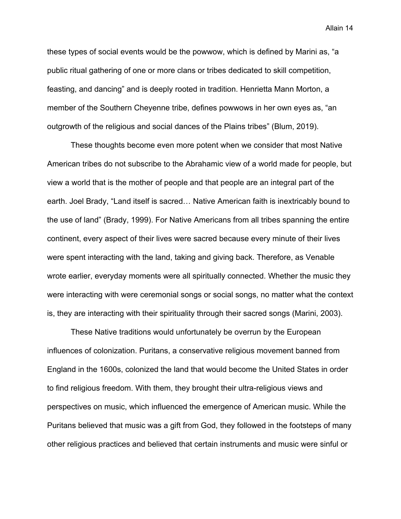these types of social events would be the powwow, which is defined by Marini as, "a public ritual gathering of one or more clans or tribes dedicated to skill competition, feasting, and dancing" and is deeply rooted in tradition. Henrietta Mann Morton, a member of the Southern Cheyenne tribe, defines powwows in her own eyes as, "an outgrowth of the religious and social dances of the Plains tribes" (Blum, 2019).

These thoughts become even more potent when we consider that most Native American tribes do not subscribe to the Abrahamic view of a world made for people, but view a world that is the mother of people and that people are an integral part of the earth. Joel Brady, "Land itself is sacred… Native American faith is inextricably bound to the use of land" (Brady, 1999). For Native Americans from all tribes spanning the entire continent, every aspect of their lives were sacred because every minute of their lives were spent interacting with the land, taking and giving back. Therefore, as Venable wrote earlier, everyday moments were all spiritually connected. Whether the music they were interacting with were ceremonial songs or social songs, no matter what the context is, they are interacting with their spirituality through their sacred songs (Marini, 2003).

These Native traditions would unfortunately be overrun by the European influences of colonization. Puritans, a conservative religious movement banned from England in the 1600s, colonized the land that would become the United States in order to find religious freedom. With them, they brought their ultra-religious views and perspectives on music, which influenced the emergence of American music. While the Puritans believed that music was a gift from God, they followed in the footsteps of many other religious practices and believed that certain instruments and music were sinful or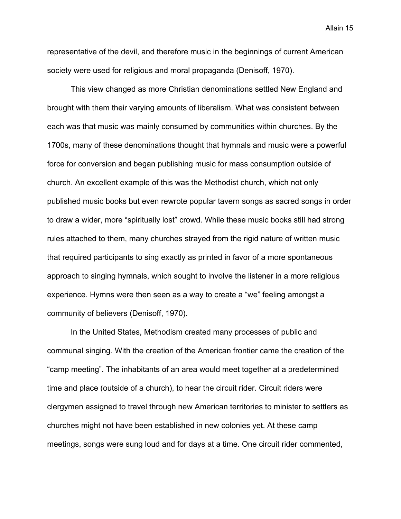representative of the devil, and therefore music in the beginnings of current American society were used for religious and moral propaganda (Denisoff, 1970).

This view changed as more Christian denominations settled New England and brought with them their varying amounts of liberalism. What was consistent between each was that music was mainly consumed by communities within churches. By the 1700s, many of these denominations thought that hymnals and music were a powerful force for conversion and began publishing music for mass consumption outside of church. An excellent example of this was the Methodist church, which not only published music books but even rewrote popular tavern songs as sacred songs in order to draw a wider, more "spiritually lost" crowd. While these music books still had strong rules attached to them, many churches strayed from the rigid nature of written music that required participants to sing exactly as printed in favor of a more spontaneous approach to singing hymnals, which sought to involve the listener in a more religious experience. Hymns were then seen as a way to create a "we" feeling amongst a community of believers (Denisoff, 1970).

In the United States, Methodism created many processes of public and communal singing. With the creation of the American frontier came the creation of the "camp meeting". The inhabitants of an area would meet together at a predetermined time and place (outside of a church), to hear the circuit rider. Circuit riders were clergymen assigned to travel through new American territories to minister to settlers as churches might not have been established in new colonies yet. At these camp meetings, songs were sung loud and for days at a time. One circuit rider commented,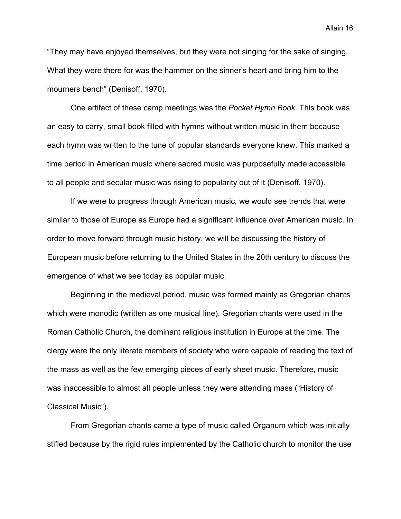"They may have enjoyed themselves, but they were not singing for the sake of singing. What they were there for was the hammer on the sinner's heart and bring him to the mourners bench" (Denisoff, 1970).

One artifact of these camp meetings was the *Pocket Hymn Book.* This book was an easy to carry, small book filled with hymns without written music in them because each hymn was written to the tune of popular standards everyone knew. This marked a time period in American music where sacred music was purposefully made accessible to all people and secular music was rising to popularity out of it (Denisoff, 1970).

If we were to progress through American music, we would see trends that were similar to those of Europe as Europe had a significant influence over American music. In order to move forward through music history, we will be discussing the history of European music before returning to the United States in the 20th century to discuss the emergence of what we see today as popular music.

Beginning in the medieval period, music was formed mainly as Gregorian chants which were monodic (written as one musical line). Gregorian chants were used in the Roman Catholic Church, the dominant religious institution in Europe at the time. The clergy were the only literate members of society who were capable of reading the text of the mass as well as the few emerging pieces of early sheet music. Therefore, music was inaccessible to almost all people unless they were attending mass ("History of Classical Music").

From Gregorian chants came a type of music called Organum which was initially stifled because by the rigid rules implemented by the Catholic church to monitor the use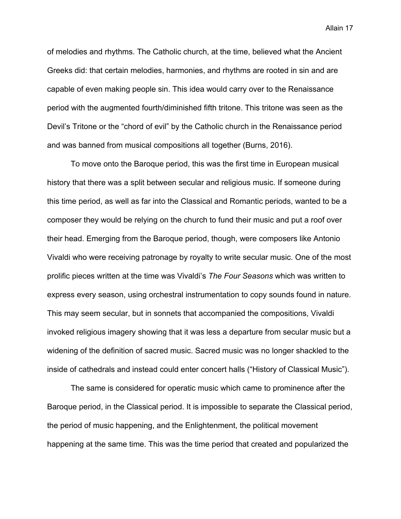of melodies and rhythms. The Catholic church, at the time, believed what the Ancient Greeks did: that certain melodies, harmonies, and rhythms are rooted in sin and are capable of even making people sin. This idea would carry over to the Renaissance period with the augmented fourth/diminished fifth tritone. This tritone was seen as the Devil's Tritone or the "chord of evil" by the Catholic church in the Renaissance period and was banned from musical compositions all together (Burns, 2016).

To move onto the Baroque period, this was the first time in European musical history that there was a split between secular and religious music. If someone during this time period, as well as far into the Classical and Romantic periods, wanted to be a composer they would be relying on the church to fund their music and put a roof over their head. Emerging from the Baroque period, though, were composers like Antonio Vivaldi who were receiving patronage by royalty to write secular music. One of the most prolific pieces written at the time was Vivaldi's *The Four Seasons* which was written to express every season, using orchestral instrumentation to copy sounds found in nature. This may seem secular, but in sonnets that accompanied the compositions, Vivaldi invoked religious imagery showing that it was less a departure from secular music but a widening of the definition of sacred music. Sacred music was no longer shackled to the inside of cathedrals and instead could enter concert halls ("History of Classical Music").

The same is considered for operatic music which came to prominence after the Baroque period, in the Classical period. It is impossible to separate the Classical period, the period of music happening, and the Enlightenment, the political movement happening at the same time. This was the time period that created and popularized the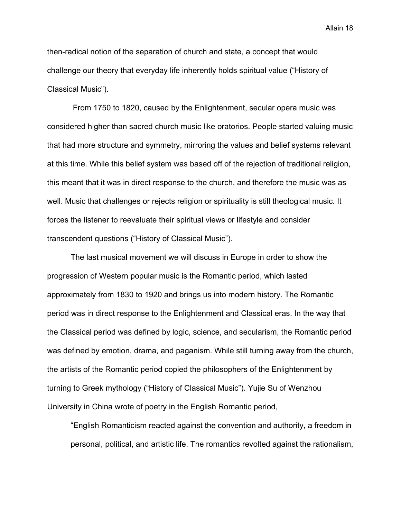then-radical notion of the separation of church and state, a concept that would challenge our theory that everyday life inherently holds spiritual value ("History of Classical Music").

 From 1750 to 1820, caused by the Enlightenment, secular opera music was considered higher than sacred church music like oratorios. People started valuing music that had more structure and symmetry, mirroring the values and belief systems relevant at this time. While this belief system was based off of the rejection of traditional religion, this meant that it was in direct response to the church, and therefore the music was as well. Music that challenges or rejects religion or spirituality is still theological music. It forces the listener to reevaluate their spiritual views or lifestyle and consider transcendent questions ("History of Classical Music").

The last musical movement we will discuss in Europe in order to show the progression of Western popular music is the Romantic period, which lasted approximately from 1830 to 1920 and brings us into modern history. The Romantic period was in direct response to the Enlightenment and Classical eras. In the way that the Classical period was defined by logic, science, and secularism, the Romantic period was defined by emotion, drama, and paganism. While still turning away from the church, the artists of the Romantic period copied the philosophers of the Enlightenment by turning to Greek mythology ("History of Classical Music"). Yujie Su of Wenzhou University in China wrote of poetry in the English Romantic period,

"English Romanticism reacted against the convention and authority, a freedom in personal, political, and artistic life. The romantics revolted against the rationalism,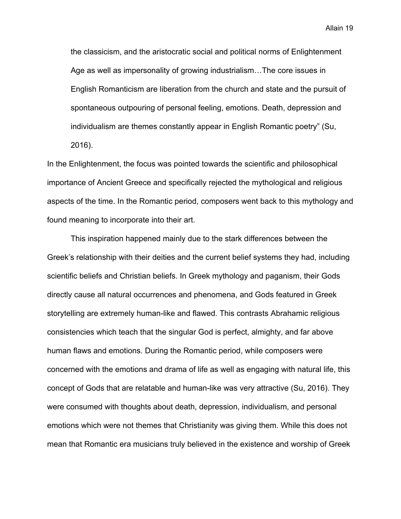the classicism, and the aristocratic social and political norms of Enlightenment Age as well as impersonality of growing industrialism…The core issues in English Romanticism are liberation from the church and state and the pursuit of spontaneous outpouring of personal feeling, emotions. Death, depression and individualism are themes constantly appear in English Romantic poetry" (Su, 2016).

In the Enlightenment, the focus was pointed towards the scientific and philosophical importance of Ancient Greece and specifically rejected the mythological and religious aspects of the time. In the Romantic period, composers went back to this mythology and found meaning to incorporate into their art.

This inspiration happened mainly due to the stark differences between the Greek's relationship with their deities and the current belief systems they had, including scientific beliefs and Christian beliefs. In Greek mythology and paganism, their Gods directly cause all natural occurrences and phenomena, and Gods featured in Greek storytelling are extremely human-like and flawed. This contrasts Abrahamic religious consistencies which teach that the singular God is perfect, almighty, and far above human flaws and emotions. During the Romantic period, while composers were concerned with the emotions and drama of life as well as engaging with natural life, this concept of Gods that are relatable and human-like was very attractive (Su, 2016). They were consumed with thoughts about death, depression, individualism, and personal emotions which were not themes that Christianity was giving them. While this does not mean that Romantic era musicians truly believed in the existence and worship of Greek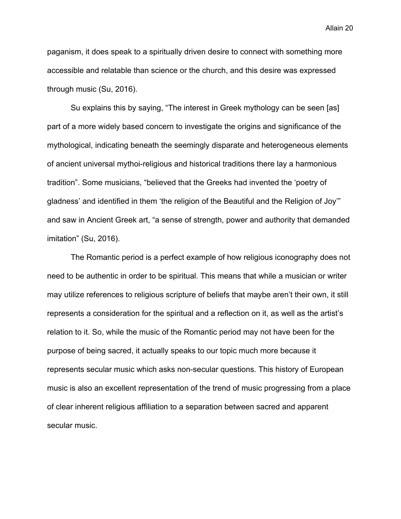paganism, it does speak to a spiritually driven desire to connect with something more accessible and relatable than science or the church, and this desire was expressed through music (Su, 2016).

Su explains this by saying, "The interest in Greek mythology can be seen [as] part of a more widely based concern to investigate the origins and significance of the mythological, indicating beneath the seemingly disparate and heterogeneous elements of ancient universal mythoi-religious and historical traditions there lay a harmonious tradition". Some musicians, "believed that the Greeks had invented the 'poetry of gladness' and identified in them 'the religion of the Beautiful and the Religion of Joy'" and saw in Ancient Greek art, "a sense of strength, power and authority that demanded imitation" (Su, 2016).

The Romantic period is a perfect example of how religious iconography does not need to be authentic in order to be spiritual. This means that while a musician or writer may utilize references to religious scripture of beliefs that maybe aren't their own, it still represents a consideration for the spiritual and a reflection on it, as well as the artist's relation to it. So, while the music of the Romantic period may not have been for the purpose of being sacred, it actually speaks to our topic much more because it represents secular music which asks non-secular questions. This history of European music is also an excellent representation of the trend of music progressing from a place of clear inherent religious affiliation to a separation between sacred and apparent secular music.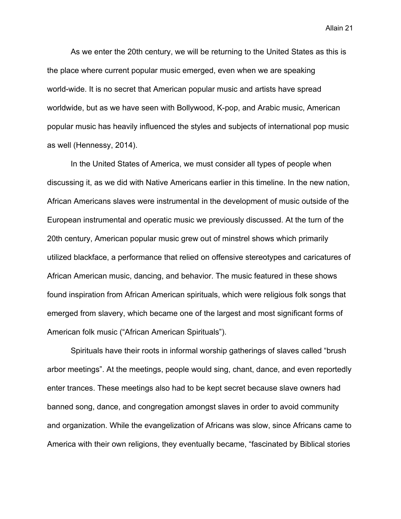As we enter the 20th century, we will be returning to the United States as this is the place where current popular music emerged, even when we are speaking world-wide. It is no secret that American popular music and artists have spread worldwide, but as we have seen with Bollywood, K-pop, and Arabic music, American popular music has heavily influenced the styles and subjects of international pop music as well (Hennessy, 2014).

In the United States of America, we must consider all types of people when discussing it, as we did with Native Americans earlier in this timeline. In the new nation, African Americans slaves were instrumental in the development of music outside of the European instrumental and operatic music we previously discussed. At the turn of the 20th century, American popular music grew out of minstrel shows which primarily utilized blackface, a performance that relied on offensive stereotypes and caricatures of African American music, dancing, and behavior. The music featured in these shows found inspiration from African American spirituals, which were religious folk songs that emerged from slavery, which became one of the largest and most significant forms of American folk music ("African American Spirituals").

Spirituals have their roots in informal worship gatherings of slaves called "brush arbor meetings". At the meetings, people would sing, chant, dance, and even reportedly enter trances. These meetings also had to be kept secret because slave owners had banned song, dance, and congregation amongst slaves in order to avoid community and organization. While the evangelization of Africans was slow, since Africans came to America with their own religions, they eventually became, "fascinated by Biblical stories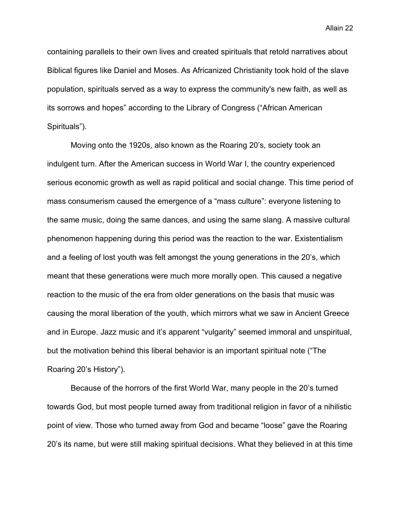containing parallels to their own lives and created spirituals that retold narratives about Biblical figures like Daniel and Moses. As Africanized Christianity took hold of the slave population, spirituals served as a way to express the community's new faith, as well as its sorrows and hopes" according to the Library of Congress ("African American Spirituals").

Moving onto the 1920s, also known as the Roaring 20's, society took an indulgent turn. After the American success in World War I, the country experienced serious economic growth as well as rapid political and social change. This time period of mass consumerism caused the emergence of a "mass culture": everyone listening to the same music, doing the same dances, and using the same slang. A massive cultural phenomenon happening during this period was the reaction to the war. Existentialism and a feeling of lost youth was felt amongst the young generations in the 20's, which meant that these generations were much more morally open. This caused a negative reaction to the music of the era from older generations on the basis that music was causing the moral liberation of the youth, which mirrors what we saw in Ancient Greece and in Europe. Jazz music and it's apparent "vulgarity" seemed immoral and unspiritual, but the motivation behind this liberal behavior is an important spiritual note ("The Roaring 20's History").

Because of the horrors of the first World War, many people in the 20's turned towards God, but most people turned away from traditional religion in favor of a nihilistic point of view. Those who turned away from God and became "loose" gave the Roaring 20's its name, but were still making spiritual decisions. What they believed in at this time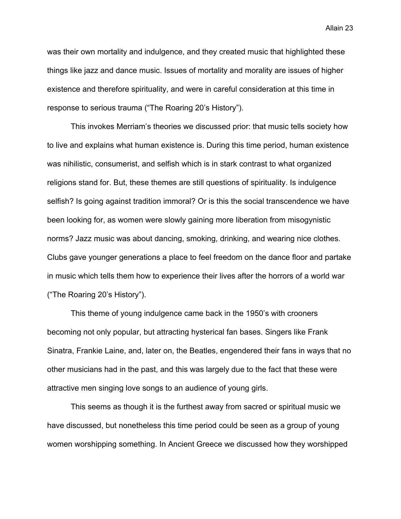was their own mortality and indulgence, and they created music that highlighted these things like jazz and dance music. Issues of mortality and morality are issues of higher existence and therefore spirituality, and were in careful consideration at this time in response to serious trauma ("The Roaring 20's History").

This invokes Merriam's theories we discussed prior: that music tells society how to live and explains what human existence is. During this time period, human existence was nihilistic, consumerist, and selfish which is in stark contrast to what organized religions stand for. But, these themes are still questions of spirituality. Is indulgence selfish? Is going against tradition immoral? Or is this the social transcendence we have been looking for, as women were slowly gaining more liberation from misogynistic norms? Jazz music was about dancing, smoking, drinking, and wearing nice clothes. Clubs gave younger generations a place to feel freedom on the dance floor and partake in music which tells them how to experience their lives after the horrors of a world war ("The Roaring 20's History").

This theme of young indulgence came back in the 1950's with crooners becoming not only popular, but attracting hysterical fan bases. Singers like Frank Sinatra, Frankie Laine, and, later on, the Beatles, engendered their fans in ways that no other musicians had in the past, and this was largely due to the fact that these were attractive men singing love songs to an audience of young girls.

This seems as though it is the furthest away from sacred or spiritual music we have discussed, but nonetheless this time period could be seen as a group of young women worshipping something. In Ancient Greece we discussed how they worshipped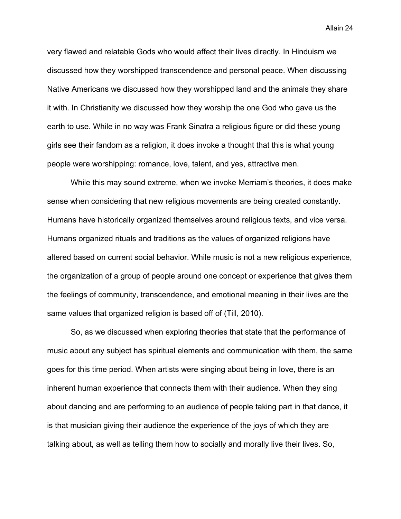very flawed and relatable Gods who would affect their lives directly. In Hinduism we discussed how they worshipped transcendence and personal peace. When discussing Native Americans we discussed how they worshipped land and the animals they share it with. In Christianity we discussed how they worship the one God who gave us the earth to use. While in no way was Frank Sinatra a religious figure or did these young girls see their fandom as a religion, it does invoke a thought that this is what young people were worshipping: romance, love, talent, and yes, attractive men.

While this may sound extreme, when we invoke Merriam's theories, it does make sense when considering that new religious movements are being created constantly. Humans have historically organized themselves around religious texts, and vice versa. Humans organized rituals and traditions as the values of organized religions have altered based on current social behavior. While music is not a new religious experience, the organization of a group of people around one concept or experience that gives them the feelings of community, transcendence, and emotional meaning in their lives are the same values that organized religion is based off of (Till, 2010).

So, as we discussed when exploring theories that state that the performance of music about any subject has spiritual elements and communication with them, the same goes for this time period. When artists were singing about being in love, there is an inherent human experience that connects them with their audience. When they sing about dancing and are performing to an audience of people taking part in that dance, it is that musician giving their audience the experience of the joys of which they are talking about, as well as telling them how to socially and morally live their lives. So,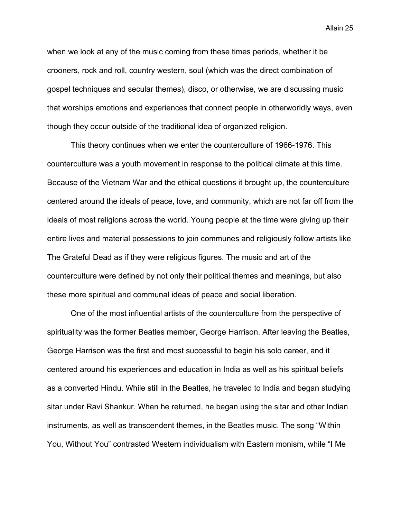when we look at any of the music coming from these times periods, whether it be crooners, rock and roll, country western, soul (which was the direct combination of gospel techniques and secular themes), disco, or otherwise, we are discussing music that worships emotions and experiences that connect people in otherworldly ways, even though they occur outside of the traditional idea of organized religion.

This theory continues when we enter the counterculture of 1966-1976. This counterculture was a youth movement in response to the political climate at this time. Because of the Vietnam War and the ethical questions it brought up, the counterculture centered around the ideals of peace, love, and community, which are not far off from the ideals of most religions across the world. Young people at the time were giving up their entire lives and material possessions to join communes and religiously follow artists like The Grateful Dead as if they were religious figures. The music and art of the counterculture were defined by not only their political themes and meanings, but also these more spiritual and communal ideas of peace and social liberation.

One of the most influential artists of the counterculture from the perspective of spirituality was the former Beatles member, George Harrison. After leaving the Beatles, George Harrison was the first and most successful to begin his solo career, and it centered around his experiences and education in India as well as his spiritual beliefs as a converted Hindu. While still in the Beatles, he traveled to India and began studying sitar under Ravi Shankur. When he returned, he began using the sitar and other Indian instruments, as well as transcendent themes, in the Beatles music. The song "Within You, Without You" contrasted Western individualism with Eastern monism, while "I Me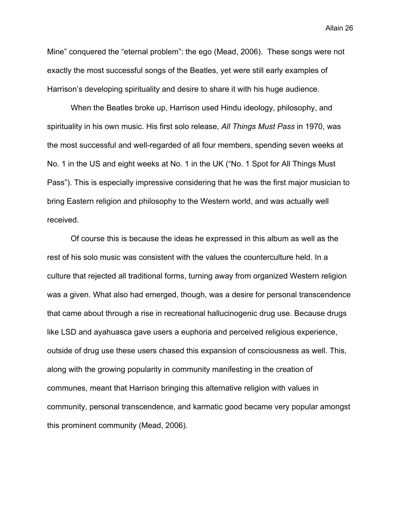Mine" conquered the "eternal problem": the ego (Mead, 2006). These songs were not exactly the most successful songs of the Beatles, yet were still early examples of Harrison's developing spirituality and desire to share it with his huge audience.

When the Beatles broke up, Harrison used Hindu ideology, philosophy, and spirituality in his own music. His first solo release, *All Things Must Pass* in 1970, was the most successful and well-regarded of all four members, spending seven weeks at No. 1 in the US and eight weeks at No. 1 in the UK ("No. 1 Spot for All Things Must Pass"). This is especially impressive considering that he was the first major musician to bring Eastern religion and philosophy to the Western world, and was actually well received.

Of course this is because the ideas he expressed in this album as well as the rest of his solo music was consistent with the values the counterculture held. In a culture that rejected all traditional forms, turning away from organized Western religion was a given. What also had emerged, though, was a desire for personal transcendence that came about through a rise in recreational hallucinogenic drug use. Because drugs like LSD and ayahuasca gave users a euphoria and perceived religious experience, outside of drug use these users chased this expansion of consciousness as well. This, along with the growing popularity in community manifesting in the creation of communes, meant that Harrison bringing this alternative religion with values in community, personal transcendence, and karmatic good became very popular amongst this prominent community (Mead, 2006).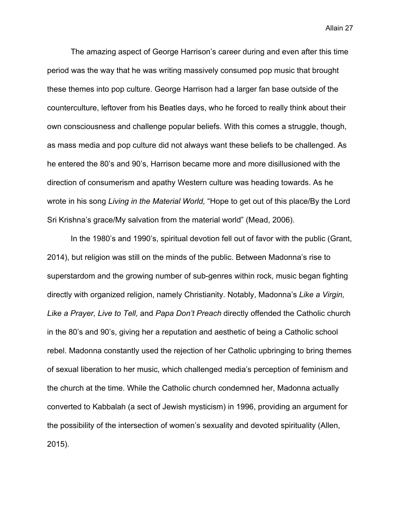The amazing aspect of George Harrison's career during and even after this time period was the way that he was writing massively consumed pop music that brought these themes into pop culture. George Harrison had a larger fan base outside of the counterculture, leftover from his Beatles days, who he forced to really think about their own consciousness and challenge popular beliefs. With this comes a struggle, though, as mass media and pop culture did not always want these beliefs to be challenged. As he entered the 80's and 90's, Harrison became more and more disillusioned with the direction of consumerism and apathy Western culture was heading towards. As he wrote in his song *Living in the Material World,* "Hope to get out of this place/By the Lord Sri Krishna's grace/My salvation from the material world" (Mead, 2006).

In the 1980's and 1990's, spiritual devotion fell out of favor with the public (Grant, 2014), but religion was still on the minds of the public. Between Madonna's rise to superstardom and the growing number of sub-genres within rock, music began fighting directly with organized religion, namely Christianity. Notably, Madonna's *Like a Virgin, Like a Prayer, Live to Tell,* and *Papa Don't Preach* directly offended the Catholic church in the 80's and 90's, giving her a reputation and aesthetic of being a Catholic school rebel. Madonna constantly used the rejection of her Catholic upbringing to bring themes of sexual liberation to her music, which challenged media's perception of feminism and the church at the time. While the Catholic church condemned her, Madonna actually converted to Kabbalah (a sect of Jewish mysticism) in 1996, providing an argument for the possibility of the intersection of women's sexuality and devoted spirituality (Allen, 2015).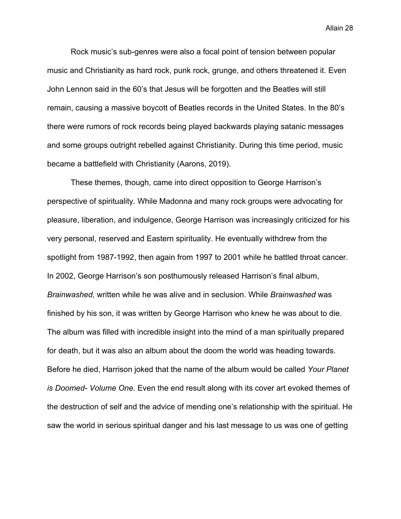Rock music's sub-genres were also a focal point of tension between popular music and Christianity as hard rock, punk rock, grunge, and others threatened it. Even John Lennon said in the 60's that Jesus will be forgotten and the Beatles will still remain, causing a massive boycott of Beatles records in the United States. In the 80's there were rumors of rock records being played backwards playing satanic messages and some groups outright rebelled against Christianity. During this time period, music became a battlefield with Christianity (Aarons, 2019).

These themes, though, came into direct opposition to George Harrison's perspective of spirituality. While Madonna and many rock groups were advocating for pleasure, liberation, and indulgence, George Harrison was increasingly criticized for his very personal, reserved and Eastern spirituality. He eventually withdrew from the spotlight from 1987-1992, then again from 1997 to 2001 while he battled throat cancer. In 2002, George Harrison's son posthumously released Harrison's final album, *Brainwashed,* written while he was alive and in seclusion. While *Brainwashed* was finished by his son, it was written by George Harrison who knew he was about to die. The album was filled with incredible insight into the mind of a man spiritually prepared for death, but it was also an album about the doom the world was heading towards. Before he died, Harrison joked that the name of the album would be called *Your Planet is Doomed- Volume One.* Even the end result along with its cover art evoked themes of the destruction of self and the advice of mending one's relationship with the spiritual. He saw the world in serious spiritual danger and his last message to us was one of getting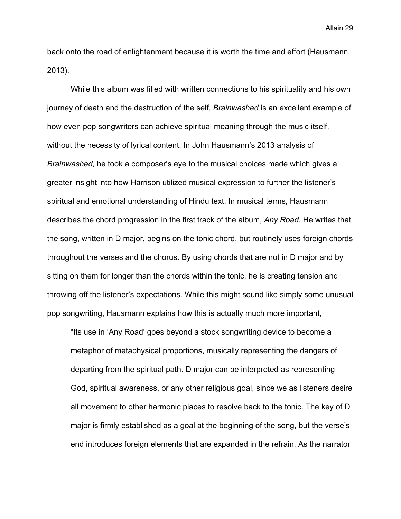back onto the road of enlightenment because it is worth the time and effort (Hausmann, 2013).

While this album was filled with written connections to his spirituality and his own journey of death and the destruction of the self, *Brainwashed* is an excellent example of how even pop songwriters can achieve spiritual meaning through the music itself, without the necessity of lyrical content. In John Hausmann's 2013 analysis of *Brainwashed,* he took a composer's eye to the musical choices made which gives a greater insight into how Harrison utilized musical expression to further the listener's spiritual and emotional understanding of Hindu text. In musical terms, Hausmann describes the chord progression in the first track of the album, *Any Road.* He writes that the song, written in D major, begins on the tonic chord, but routinely uses foreign chords throughout the verses and the chorus. By using chords that are not in D major and by sitting on them for longer than the chords within the tonic, he is creating tension and throwing off the listener's expectations. While this might sound like simply some unusual pop songwriting, Hausmann explains how this is actually much more important,

"Its use in 'Any Road' goes beyond a stock songwriting device to become a metaphor of metaphysical proportions, musically representing the dangers of departing from the spiritual path. D major can be interpreted as representing God, spiritual awareness, or any other religious goal, since we as listeners desire all movement to other harmonic places to resolve back to the tonic. The key of D major is firmly established as a goal at the beginning of the song, but the verse's end introduces foreign elements that are expanded in the refrain. As the narrator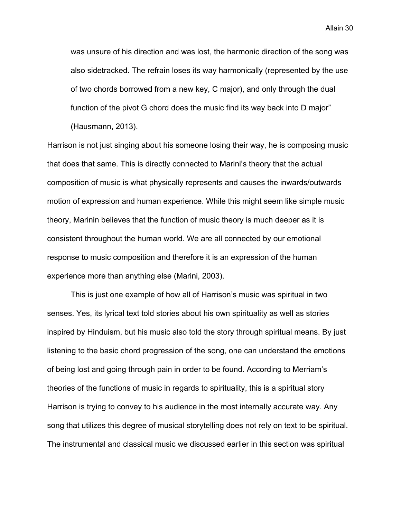was unsure of his direction and was lost, the harmonic direction of the song was also sidetracked. The refrain loses its way harmonically (represented by the use of two chords borrowed from a new key, C major), and only through the dual function of the pivot G chord does the music find its way back into D major" (Hausmann, 2013).

Harrison is not just singing about his someone losing their way, he is composing music that does that same. This is directly connected to Marini's theory that the actual composition of music is what physically represents and causes the inwards/outwards motion of expression and human experience. While this might seem like simple music theory, Marinin believes that the function of music theory is much deeper as it is consistent throughout the human world. We are all connected by our emotional response to music composition and therefore it is an expression of the human experience more than anything else (Marini, 2003).

This is just one example of how all of Harrison's music was spiritual in two senses. Yes, its lyrical text told stories about his own spirituality as well as stories inspired by Hinduism, but his music also told the story through spiritual means. By just listening to the basic chord progression of the song, one can understand the emotions of being lost and going through pain in order to be found. According to Merriam's theories of the functions of music in regards to spirituality, this is a spiritual story Harrison is trying to convey to his audience in the most internally accurate way. Any song that utilizes this degree of musical storytelling does not rely on text to be spiritual. The instrumental and classical music we discussed earlier in this section was spiritual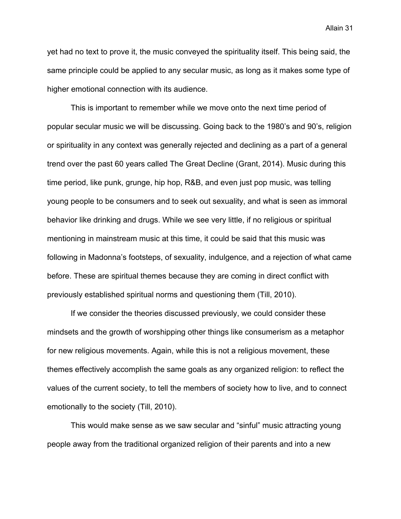yet had no text to prove it, the music conveyed the spirituality itself. This being said, the same principle could be applied to any secular music, as long as it makes some type of higher emotional connection with its audience.

This is important to remember while we move onto the next time period of popular secular music we will be discussing. Going back to the 1980's and 90's, religion or spirituality in any context was generally rejected and declining as a part of a general trend over the past 60 years called The Great Decline (Grant, 2014). Music during this time period, like punk, grunge, hip hop, R&B, and even just pop music, was telling young people to be consumers and to seek out sexuality, and what is seen as immoral behavior like drinking and drugs. While we see very little, if no religious or spiritual mentioning in mainstream music at this time, it could be said that this music was following in Madonna's footsteps, of sexuality, indulgence, and a rejection of what came before. These are spiritual themes because they are coming in direct conflict with previously established spiritual norms and questioning them (Till, 2010).

If we consider the theories discussed previously, we could consider these mindsets and the growth of worshipping other things like consumerism as a metaphor for new religious movements. Again, while this is not a religious movement, these themes effectively accomplish the same goals as any organized religion: to reflect the values of the current society, to tell the members of society how to live, and to connect emotionally to the society (Till, 2010).

This would make sense as we saw secular and "sinful" music attracting young people away from the traditional organized religion of their parents and into a new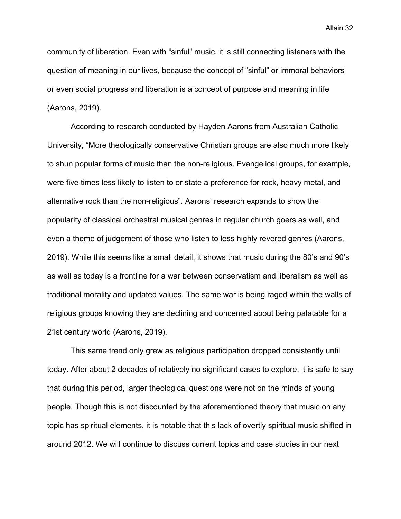community of liberation. Even with "sinful" music, it is still connecting listeners with the question of meaning in our lives, because the concept of "sinful" or immoral behaviors or even social progress and liberation is a concept of purpose and meaning in life (Aarons, 2019).

According to research conducted by Hayden Aarons from Australian Catholic University, "More theologically conservative Christian groups are also much more likely to shun popular forms of music than the non-religious. Evangelical groups, for example, were five times less likely to listen to or state a preference for rock, heavy metal, and alternative rock than the non-religious". Aarons' research expands to show the popularity of classical orchestral musical genres in regular church goers as well, and even a theme of judgement of those who listen to less highly revered genres (Aarons, 2019). While this seems like a small detail, it shows that music during the 80's and 90's as well as today is a frontline for a war between conservatism and liberalism as well as traditional morality and updated values. The same war is being raged within the walls of religious groups knowing they are declining and concerned about being palatable for a 21st century world (Aarons, 2019).

This same trend only grew as religious participation dropped consistently until today. After about 2 decades of relatively no significant cases to explore, it is safe to say that during this period, larger theological questions were not on the minds of young people. Though this is not discounted by the aforementioned theory that music on any topic has spiritual elements, it is notable that this lack of overtly spiritual music shifted in around 2012. We will continue to discuss current topics and case studies in our next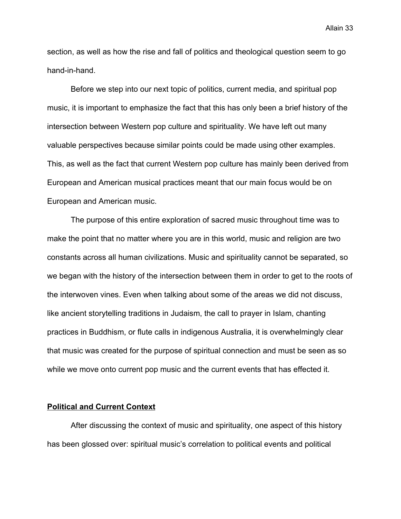section, as well as how the rise and fall of politics and theological question seem to go hand-in-hand.

Before we step into our next topic of politics, current media, and spiritual pop music, it is important to emphasize the fact that this has only been a brief history of the intersection between Western pop culture and spirituality. We have left out many valuable perspectives because similar points could be made using other examples. This, as well as the fact that current Western pop culture has mainly been derived from European and American musical practices meant that our main focus would be on European and American music.

The purpose of this entire exploration of sacred music throughout time was to make the point that no matter where you are in this world, music and religion are two constants across all human civilizations. Music and spirituality cannot be separated, so we began with the history of the intersection between them in order to get to the roots of the interwoven vines. Even when talking about some of the areas we did not discuss, like ancient storytelling traditions in Judaism, the call to prayer in Islam, chanting practices in Buddhism, or flute calls in indigenous Australia, it is overwhelmingly clear that music was created for the purpose of spiritual connection and must be seen as so while we move onto current pop music and the current events that has effected it.

#### **Political and Current Context**

After discussing the context of music and spirituality, one aspect of this history has been glossed over: spiritual music's correlation to political events and political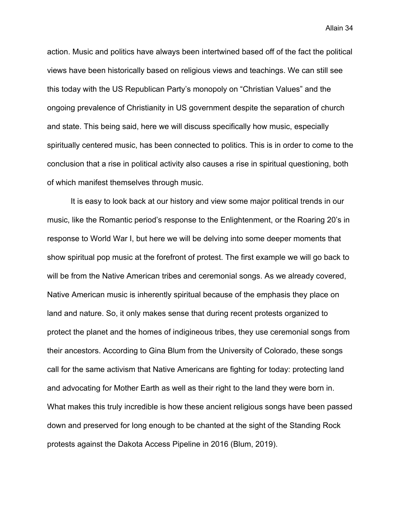action. Music and politics have always been intertwined based off of the fact the political views have been historically based on religious views and teachings. We can still see this today with the US Republican Party's monopoly on "Christian Values" and the ongoing prevalence of Christianity in US government despite the separation of church and state. This being said, here we will discuss specifically how music, especially spiritually centered music, has been connected to politics. This is in order to come to the conclusion that a rise in political activity also causes a rise in spiritual questioning, both of which manifest themselves through music.

It is easy to look back at our history and view some major political trends in our music, like the Romantic period's response to the Enlightenment, or the Roaring 20's in response to World War I, but here we will be delving into some deeper moments that show spiritual pop music at the forefront of protest. The first example we will go back to will be from the Native American tribes and ceremonial songs. As we already covered, Native American music is inherently spiritual because of the emphasis they place on land and nature. So, it only makes sense that during recent protests organized to protect the planet and the homes of indigineous tribes, they use ceremonial songs from their ancestors. According to Gina Blum from the University of Colorado, these songs call for the same activism that Native Americans are fighting for today: protecting land and advocating for Mother Earth as well as their right to the land they were born in. What makes this truly incredible is how these ancient religious songs have been passed down and preserved for long enough to be chanted at the sight of the Standing Rock protests against the Dakota Access Pipeline in 2016 (Blum, 2019).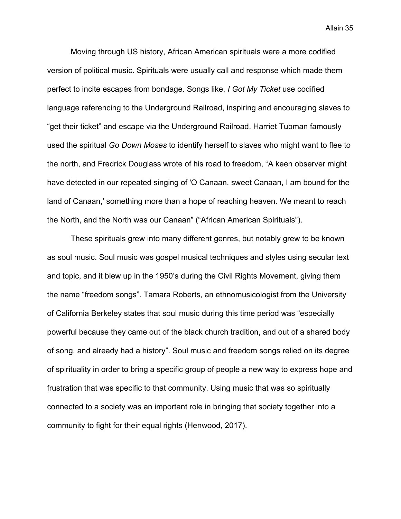Moving through US history, African American spirituals were a more codified version of political music. Spirituals were usually call and response which made them perfect to incite escapes from bondage. Songs like, *I Got My Ticket* use codified language referencing to the Underground Railroad, inspiring and encouraging slaves to "get their ticket" and escape via the Underground Railroad. Harriet Tubman famously used the spiritual *Go Down Moses* to identify herself to slaves who might want to flee to the north, and Fredrick Douglass wrote of his road to freedom, "A keen observer might have detected in our repeated singing of 'O Canaan, sweet Canaan, I am bound for the land of Canaan,' something more than a hope of reaching heaven. We meant to reach the North, and the North was our Canaan" ("African American Spirituals").

These spirituals grew into many different genres, but notably grew to be known as soul music. Soul music was gospel musical techniques and styles using secular text and topic, and it blew up in the 1950's during the Civil Rights Movement, giving them the name "freedom songs". Tamara Roberts, an ethnomusicologist from the University of California Berkeley states that soul music during this time period was "especially powerful because they came out of the black church tradition, and out of a shared body of song, and already had a history". Soul music and freedom songs relied on its degree of spirituality in order to bring a specific group of people a new way to express hope and frustration that was specific to that community. Using music that was so spiritually connected to a society was an important role in bringing that society together into a community to fight for their equal rights (Henwood, 2017).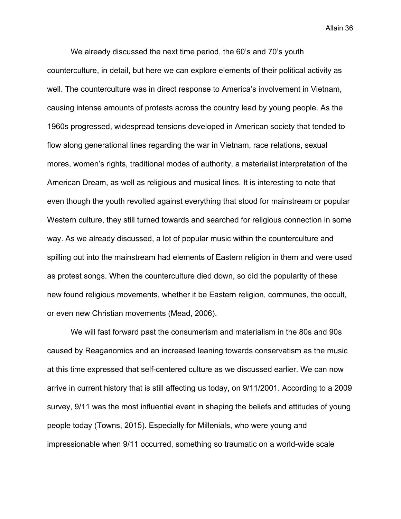We already discussed the next time period, the 60's and 70's youth counterculture, in detail, but here we can explore elements of their political activity as well. The counterculture was in direct response to America's involvement in Vietnam, causing intense amounts of protests across the country lead by young people. As the 1960s progressed, widespread tensions developed in American society that tended to flow along generational lines regarding the war in Vietnam, race relations, sexual mores, women's rights, traditional modes of authority, a materialist interpretation of the American Dream, as well as religious and musical lines. It is interesting to note that even though the youth revolted against everything that stood for mainstream or popular Western culture, they still turned towards and searched for religious connection in some way. As we already discussed, a lot of popular music within the counterculture and spilling out into the mainstream had elements of Eastern religion in them and were used as protest songs. When the counterculture died down, so did the popularity of these new found religious movements, whether it be Eastern religion, communes, the occult, or even new Christian movements (Mead, 2006).

We will fast forward past the consumerism and materialism in the 80s and 90s caused by Reaganomics and an increased leaning towards conservatism as the music at this time expressed that self-centered culture as we discussed earlier. We can now arrive in current history that is still affecting us today, on 9/11/2001. According to a 2009 survey, 9/11 was the most influential event in shaping the beliefs and attitudes of young people today (Towns, 2015). Especially for Millenials, who were young and impressionable when 9/11 occurred, something so traumatic on a world-wide scale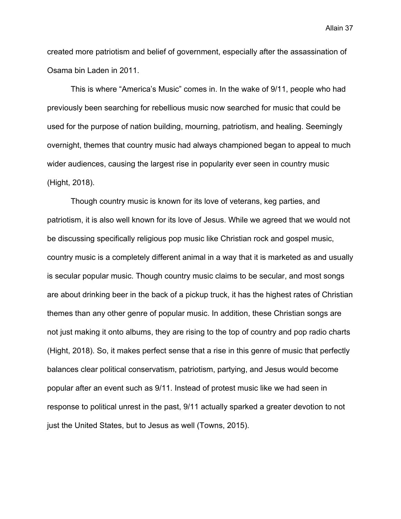created more patriotism and belief of government, especially after the assassination of Osama bin Laden in 2011.

This is where "America's Music" comes in. In the wake of 9/11, people who had previously been searching for rebellious music now searched for music that could be used for the purpose of nation building, mourning, patriotism, and healing. Seemingly overnight, themes that country music had always championed began to appeal to much wider audiences, causing the largest rise in popularity ever seen in country music (Hight, 2018).

Though country music is known for its love of veterans, keg parties, and patriotism, it is also well known for its love of Jesus. While we agreed that we would not be discussing specifically religious pop music like Christian rock and gospel music, country music is a completely different animal in a way that it is marketed as and usually is secular popular music. Though country music claims to be secular, and most songs are about drinking beer in the back of a pickup truck, it has the highest rates of Christian themes than any other genre of popular music. In addition, these Christian songs are not just making it onto albums, they are rising to the top of country and pop radio charts (Hight, 2018). So, it makes perfect sense that a rise in this genre of music that perfectly balances clear political conservatism, patriotism, partying, and Jesus would become popular after an event such as 9/11. Instead of protest music like we had seen in response to political unrest in the past, 9/11 actually sparked a greater devotion to not just the United States, but to Jesus as well (Towns, 2015).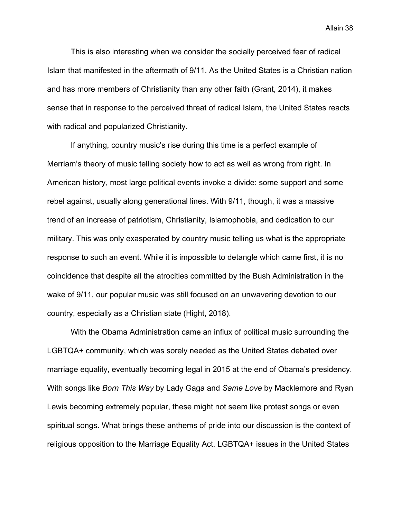This is also interesting when we consider the socially perceived fear of radical Islam that manifested in the aftermath of 9/11. As the United States is a Christian nation and has more members of Christianity than any other faith (Grant, 2014), it makes sense that in response to the perceived threat of radical Islam, the United States reacts with radical and popularized Christianity.

If anything, country music's rise during this time is a perfect example of Merriam's theory of music telling society how to act as well as wrong from right. In American history, most large political events invoke a divide: some support and some rebel against, usually along generational lines. With 9/11, though, it was a massive trend of an increase of patriotism, Christianity, Islamophobia, and dedication to our military. This was only exasperated by country music telling us what is the appropriate response to such an event. While it is impossible to detangle which came first, it is no coincidence that despite all the atrocities committed by the Bush Administration in the wake of 9/11, our popular music was still focused on an unwavering devotion to our country, especially as a Christian state (Hight, 2018).

With the Obama Administration came an influx of political music surrounding the LGBTQA+ community, which was sorely needed as the United States debated over marriage equality, eventually becoming legal in 2015 at the end of Obama's presidency. With songs like *Born This Way* by Lady Gaga and *Same Love* by Macklemore and Ryan Lewis becoming extremely popular, these might not seem like protest songs or even spiritual songs. What brings these anthems of pride into our discussion is the context of religious opposition to the Marriage Equality Act. LGBTQA+ issues in the United States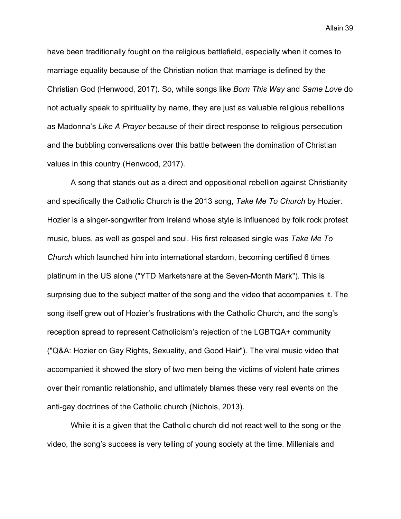have been traditionally fought on the religious battlefield, especially when it comes to marriage equality because of the Christian notion that marriage is defined by the Christian God (Henwood, 2017). So, while songs like *Born This Way* and *Same Love* do not actually speak to spirituality by name, they are just as valuable religious rebellions as Madonna's *Like A Prayer* because of their direct response to religious persecution and the bubbling conversations over this battle between the domination of Christian values in this country (Henwood, 2017).

A song that stands out as a direct and oppositional rebellion against Christianity and specifically the Catholic Church is the 2013 song, *Take Me To Church* by Hozier. Hozier is a singer-songwriter from Ireland whose style is influenced by folk rock protest music, blues, as well as gospel and soul. His first released single was *Take Me To Church* which launched him into international stardom, becoming certified 6 times platinum in the US alone (["YTD Marketshare at the Seven-Month Mark"\)](https://web.archive.org/web/20150801063634/http://hitsdailydouble.com/news%26id%3D297039). This is surprising due to the subject matter of the song and the video that accompanies it. The song itself grew out of Hozier's frustrations with the Catholic Church, and the song's reception spread to represent Catholicism's rejection of the LGBTQA+ community ("Q&A: Hozier on Gay Rights, Sexuality, and Good Hair"). The viral music video that accompanied it showed the story of two men being the victims of violent hate crimes over their romantic relationship, and ultimately blames these very real events on the anti-gay doctrines of the Catholic church (Nichols, 2013).

While it is a given that the Catholic church did not react well to the song or the video, the song's success is very telling of young society at the time. Millenials and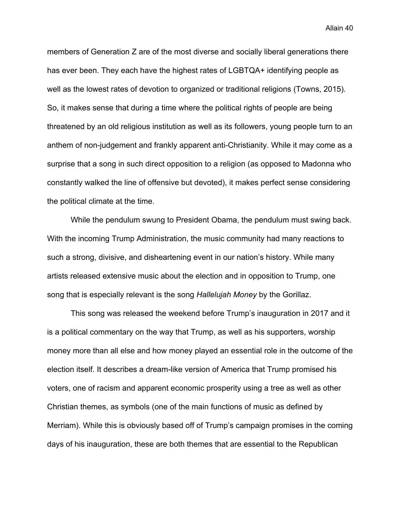members of Generation Z are of the most diverse and socially liberal generations there has ever been. They each have the highest rates of LGBTQA+ identifying people as well as the lowest rates of devotion to organized or traditional religions (Towns, 2015). So, it makes sense that during a time where the political rights of people are being threatened by an old religious institution as well as its followers, young people turn to an anthem of non-judgement and frankly apparent anti-Christianity. While it may come as a surprise that a song in such direct opposition to a religion (as opposed to Madonna who constantly walked the line of offensive but devoted), it makes perfect sense considering the political climate at the time.

While the pendulum swung to President Obama, the pendulum must swing back. With the incoming Trump Administration, the music community had many reactions to such a strong, divisive, and disheartening event in our nation's history. While many artists released extensive music about the election and in opposition to Trump, one song that is especially relevant is the song *Hallelujah Money* by the Gorillaz.

This song was released the weekend before Trump's inauguration in 2017 and it is a political commentary on the way that Trump, as well as his supporters, worship money more than all else and how money played an essential role in the outcome of the election itself. It describes a dream-like version of America that Trump promised his voters, one of racism and apparent economic prosperity using a tree as well as other Christian themes, as symbols (one of the main functions of music as defined by Merriam). While this is obviously based off of Trump's campaign promises in the coming days of his inauguration, these are both themes that are essential to the Republican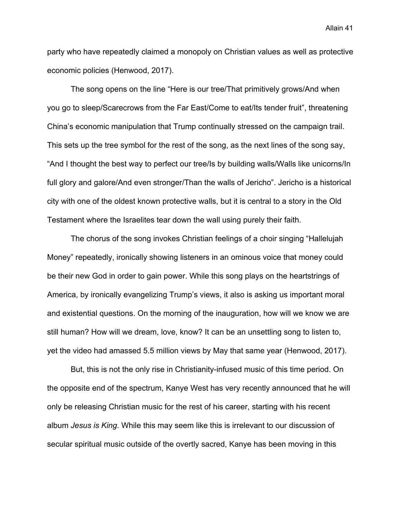party who have repeatedly claimed a monopoly on Christian values as well as protective economic policies (Henwood, 2017).

The song opens on the line "Here is our tree/That primitively grows/And when you go to sleep/Scarecrows from the Far East/Come to eat/Its tender fruit", threatening China's economic manipulation that Trump continually stressed on the campaign trail. This sets up the tree symbol for the rest of the song, as the next lines of the song say, "And I thought the best way to perfect our tree/Is by building walls/Walls like unicorns/In full glory and galore/And even stronger/Than the walls of Jericho". Jericho is a historical city with one of the oldest known protective walls, but it is central to a story in the Old Testament where the Israelites tear down the wall using purely their faith.

The chorus of the song invokes Christian feelings of a choir singing "Hallelujah Money" repeatedly, ironically showing listeners in an ominous voice that money could be their new God in order to gain power. While this song plays on the heartstrings of America, by ironically evangelizing Trump's views, it also is asking us important moral and existential questions. On the morning of the inauguration, how will we know we are still human? How will we dream, love, know? It can be an unsettling song to listen to, yet the video had amassed 5.5 million views by May that same year (Henwood, 2017).

But, this is not the only rise in Christianity-infused music of this time period. On the opposite end of the spectrum, Kanye West has very recently announced that he will only be releasing Christian music for the rest of his career, starting with his recent album *Jesus is King*. While this may seem like this is irrelevant to our discussion of secular spiritual music outside of the overtly sacred, Kanye has been moving in this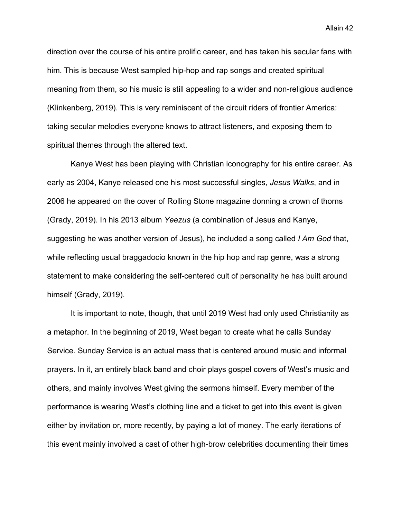direction over the course of his entire prolific career, and has taken his secular fans with him. This is because West sampled hip-hop and rap songs and created spiritual meaning from them, so his music is still appealing to a wider and non-religious audience (Klinkenberg, 2019). This is very reminiscent of the circuit riders of frontier America: taking secular melodies everyone knows to attract listeners, and exposing them to spiritual themes through the altered text.

Kanye West has been playing with Christian iconography for his entire career. As early as 2004, Kanye released one his most successful singles, *Jesus Walks*, and in 2006 he appeared on the cover of Rolling Stone magazine donning a crown of thorns (Grady, 2019). In his 2013 album *Yeezus* (a combination of Jesus and Kanye, suggesting he was another version of Jesus), he included a song called *I Am God* that, while reflecting usual braggadocio known in the hip hop and rap genre, was a strong statement to make considering the self-centered cult of personality he has built around himself (Grady, 2019).

It is important to note, though, that until 2019 West had only used Christianity as a metaphor. In the beginning of 2019, West began to create what he calls Sunday Service. Sunday Service is an actual mass that is centered around music and informal prayers. In it, an entirely black band and choir plays gospel covers of West's music and others, and mainly involves West giving the sermons himself. Every member of the performance is wearing West's clothing line and a ticket to get into this event is given either by invitation or, more recently, by paying a lot of money. The early iterations of this event mainly involved a cast of other high-brow celebrities documenting their times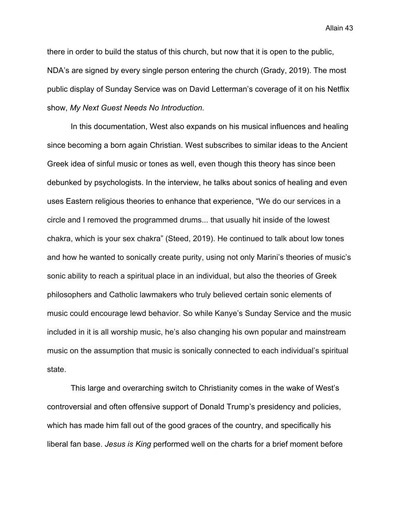there in order to build the status of this church, but now that it is open to the public, NDA's are signed by every single person entering the church (Grady, 2019). The most public display of Sunday Service was on David Letterman's coverage of it on his Netflix show, *My Next Guest Needs No Introduction.*

In this documentation, West also expands on his musical influences and healing since becoming a born again Christian. West subscribes to similar ideas to the Ancient Greek idea of sinful music or tones as well, even though this theory has since been debunked by psychologists. In the interview, he talks about sonics of healing and even uses Eastern religious theories to enhance that experience, "We do our services in a circle and I removed the programmed drums... that usually hit inside of the lowest chakra, which is your sex chakra" (Steed, 2019). He continued to talk about low tones and how he wanted to sonically create purity, using not only Marini's theories of music's sonic ability to reach a spiritual place in an individual, but also the theories of Greek philosophers and Catholic lawmakers who truly believed certain sonic elements of music could encourage lewd behavior. So while Kanye's Sunday Service and the music included in it is all worship music, he's also changing his own popular and mainstream music on the assumption that music is sonically connected to each individual's spiritual state.

This large and overarching switch to Christianity comes in the wake of West's controversial and often offensive support of Donald Trump's presidency and policies, which has made him fall out of the good graces of the country, and specifically his liberal fan base. *Jesus is King* performed well on the charts for a brief moment before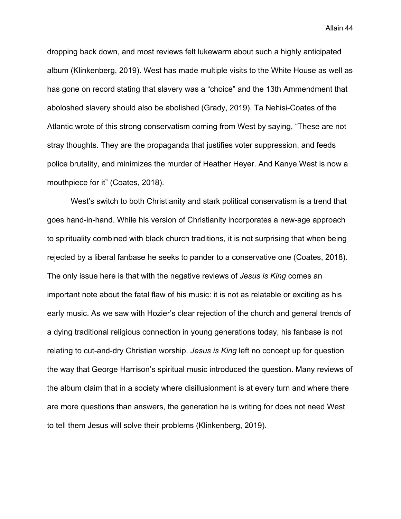dropping back down, and most reviews felt lukewarm about such a highly anticipated album (Klinkenberg, 2019). West has made multiple visits to the White House as well as has gone on record stating that slavery was a "choice" and the 13th Ammendment that aboloshed slavery should also be abolished (Grady, 2019). Ta Nehisi-Coates of the Atlantic wrote of this strong conservatism coming from West by saying, "These are not stray thoughts. They are the propaganda that justifies voter suppression, and feeds police brutality, and minimizes the murder of Heather Heyer. And Kanye West is now a mouthpiece for it" (Coates, 2018).

West's switch to both Christianity and stark political conservatism is a trend that goes hand-in-hand. While his version of Christianity incorporates a new-age approach to spirituality combined with black church traditions, it is not surprising that when being rejected by a liberal fanbase he seeks to pander to a conservative one (Coates, 2018). The only issue here is that with the negative reviews of *Jesus is King* comes an important note about the fatal flaw of his music: it is not as relatable or exciting as his early music. As we saw with Hozier's clear rejection of the church and general trends of a dying traditional religious connection in young generations today, his fanbase is not relating to cut-and-dry Christian worship. *Jesus is King* left no concept up for question the way that George Harrison's spiritual music introduced the question. Many reviews of the album claim that in a society where disillusionment is at every turn and where there are more questions than answers, the generation he is writing for does not need West to tell them Jesus will solve their problems (Klinkenberg, 2019).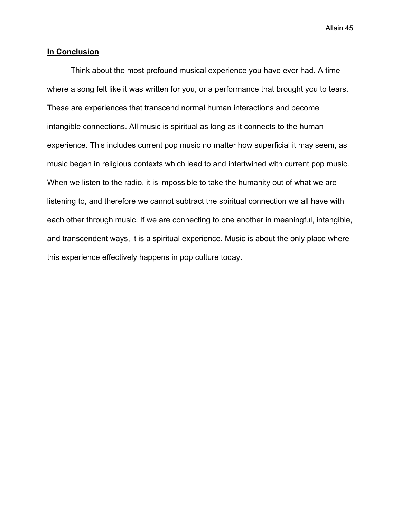### **In Conclusion**

Think about the most profound musical experience you have ever had. A time where a song felt like it was written for you, or a performance that brought you to tears. These are experiences that transcend normal human interactions and become intangible connections. All music is spiritual as long as it connects to the human experience. This includes current pop music no matter how superficial it may seem, as music began in religious contexts which lead to and intertwined with current pop music. When we listen to the radio, it is impossible to take the humanity out of what we are listening to, and therefore we cannot subtract the spiritual connection we all have with each other through music. If we are connecting to one another in meaningful, intangible, and transcendent ways, it is a spiritual experience. Music is about the only place where this experience effectively happens in pop culture today.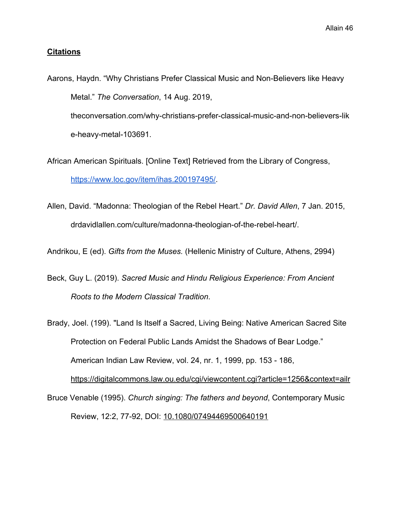## **Citations**

- Aarons, Haydn. "Why Christians Prefer Classical Music and Non-Believers like Heavy Metal." *The Conversation*, 14 Aug. 2019, theconversation.com/why-christians-prefer-classical-music-and-non-believers-lik e-heavy-metal-103691.
- African American Spirituals. [Online Text] Retrieved from the Library of Congress, <https://www.loc.gov/item/ihas.200197495/>.
- Allen, David. "Madonna: Theologian of the Rebel Heart." *Dr. David Allen*, 7 Jan. 2015, drdavidlallen.com/culture/madonna-theologian-of-the-rebel-heart/.

Andrikou, E (ed). *Gifts from the Muses.* (Hellenic Ministry of Culture, Athens, 2994)

- Beck, Guy L. (2019). *Sacred Music and Hindu Religious Experience: From Ancient Roots to the Modern Classical Tradition*.
- Brady, Joel. (199). "Land Is Itself a Sacred, Living Being: Native American Sacred Site Protection on Federal Public Lands Amidst the Shadows of Bear Lodge." American Indian Law Review, vol. 24, nr. 1, 1999, pp. 153 - 186, <https://digitalcommons.law.ou.edu/cgi/viewcontent.cgi?article=1256&context=ailr> Bruce Venable (1995). *Church singing: The fathers and beyond*, Contemporary Music Review, 12:2, 77-92, DOI: [10.1080/07494469500640191](https://doi.org/10.1080/07494469500640191)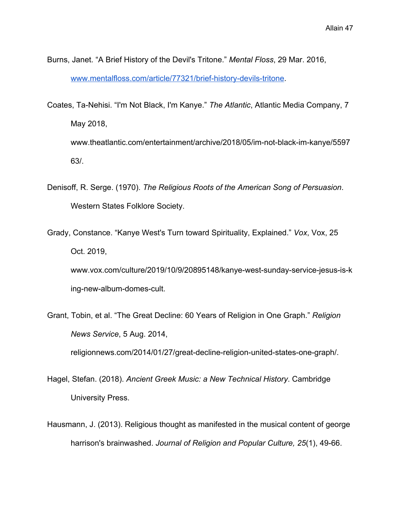- Burns, Janet. "A Brief History of the Devil's Tritone." *Mental Floss*, 29 Mar. 2016, [www.mentalfloss.com/article/77321/brief-history-devils-tritone](http://www.mentalfloss.com/article/77321/brief-history-devils-tritone).
- Coates, Ta-Nehisi. "I'm Not Black, I'm Kanye." *The Atlantic*, Atlantic Media Company, 7 May 2018, www.theatlantic.com/entertainment/archive/2018/05/im-not-black-im-kanye/5597 63/.
- Denisoff, R. Serge. (1970). *The Religious Roots of the American Song of Persuasion*. Western States Folklore Society.
- Grady, Constance. "Kanye West's Turn toward Spirituality, Explained." *Vox*, Vox, 25 Oct. 2019, www.vox.com/culture/2019/10/9/20895148/kanye-west-sunday-service-jesus-is-k

ing-new-album-domes-cult.

- Grant, Tobin, et al. "The Great Decline: 60 Years of Religion in One Graph." *Religion News Service*, 5 Aug. 2014, religionnews.com/2014/01/27/great-decline-religion-united-states-one-graph/.
- Hagel, Stefan. (2018). *Ancient Greek Music: a New Technical History*. Cambridge University Press.
- Hausmann, J. (2013). Religious thought as manifested in the musical content of george harrison's brainwashed. *Journal of Religion and Popular Culture, 25*(1), 49-66.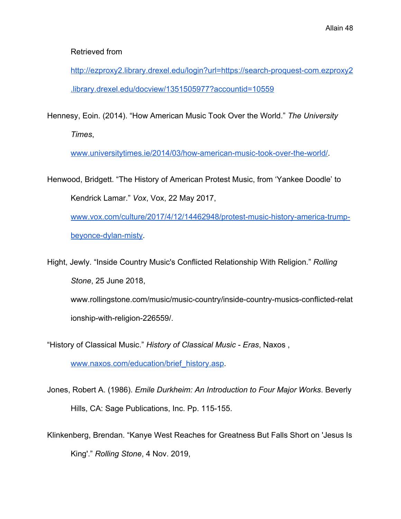Retrieved from

[http://ezproxy2.library.drexel.edu/login?url=https://search-proquest-com.ezproxy2](http://ezproxy2.library.drexel.edu/login?url=https://search-proquest-com.ezproxy2.library.drexel.edu/docview/1351505977?accountid=10559) [.library.drexel.edu/docview/1351505977?accountid=10559](http://ezproxy2.library.drexel.edu/login?url=https://search-proquest-com.ezproxy2.library.drexel.edu/docview/1351505977?accountid=10559)

Hennesy, Eoin. (2014). "How American Music Took Over the World." *The University Times*,

[www.universitytimes.ie/2014/03/how-american-music-took-over-the-world/.](http://www.universitytimes.ie/2014/03/how-american-music-took-over-the-world/)

Henwood, Bridgett. "The History of American Protest Music, from 'Yankee Doodle' to Kendrick Lamar." *Vox*, Vox, 22 May 2017,

[www.vox.com/culture/2017/4/12/14462948/protest-music-history-america-trump](http://www.vox.com/culture/2017/4/12/14462948/protest-music-history-america-trump-beyonce-dylan-misty)[beyonce-dylan-misty](http://www.vox.com/culture/2017/4/12/14462948/protest-music-history-america-trump-beyonce-dylan-misty).

Hight, Jewly. "Inside Country Music's Conflicted Relationship With Religion." *Rolling Stone*, 25 June 2018, www.rollingstone.com/music/music-country/inside-country-musics-conflicted-relat

ionship-with-religion-226559/.

"History of Classical Music." *History of Classical Music - Eras*, Naxos ,

[www.naxos.com/education/brief\\_history.asp](http://www.naxos.com/education/brief_history.asp).

- Jones, Robert A. (1986). *Emile Durkheim: An Introduction to Four Major Works*. Beverly Hills, CA: Sage Publications, Inc. Pp. 115-155.
- Klinkenberg, Brendan. "Kanye West Reaches for Greatness But Falls Short on 'Jesus Is King'." *Rolling Stone*, 4 Nov. 2019,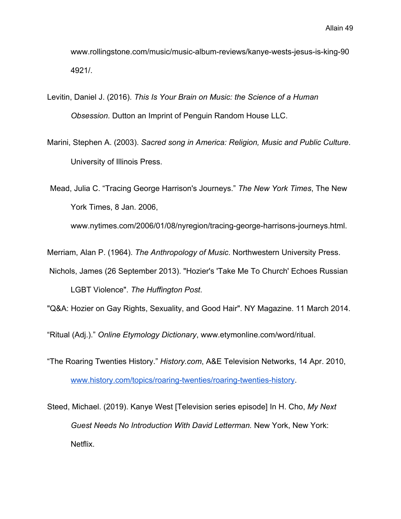www.rollingstone.com/music/music-album-reviews/kanye-wests-jesus-is-king-90 4921/.

- Levitin, Daniel J. (2016). *This Is Your Brain on Music: the Science of a Human Obsession*. Dutton an Imprint of Penguin Random House LLC.
- Marini, Stephen A. (2003). *Sacred song in America: Religion, Music and Public Culture*. University of Illinois Press.
- Mead, Julia C. "Tracing George Harrison's Journeys." *The New York Times*, The New York Times, 8 Jan. 2006,

www.nytimes.com/2006/01/08/nyregion/tracing-george-harrisons-journeys.html.

Merriam, Alan P. (1964). *The Anthropology of Music*. Northwestern University Press.

Nichols, James (26 September 2013). ["Hozier's 'Take Me To Church' Echoes Russian](http://www.huffingtonpost.com/2013/09/26/hozier-take-me-to-church_n_3991405.html)

[LGBT Violence".](http://www.huffingtonpost.com/2013/09/26/hozier-take-me-to-church_n_3991405.html) *[The Huffington Post](https://en.wikipedia.org/wiki/The_Huffington_Post)*.

"Q&A: Hozier on Gay Rights, Sexuality, and Good Hair". NY Magazine. 11 March 2014.

"Ritual (Adj.)." *Online Etymology Dictionary*, www.etymonline.com/word/ritual.

"The Roaring Twenties History." *History.com*, A&E Television Networks, 14 Apr. 2010, [www.history.com/topics/roaring-twenties/roaring-twenties-history](http://www.history.com/topics/roaring-twenties/roaring-twenties-history).

Steed, Michael. (2019). Kanye West [Television series episode] In H. Cho, *My Next Guest Needs No Introduction With David Letterman.* New York, New York: Netflix.